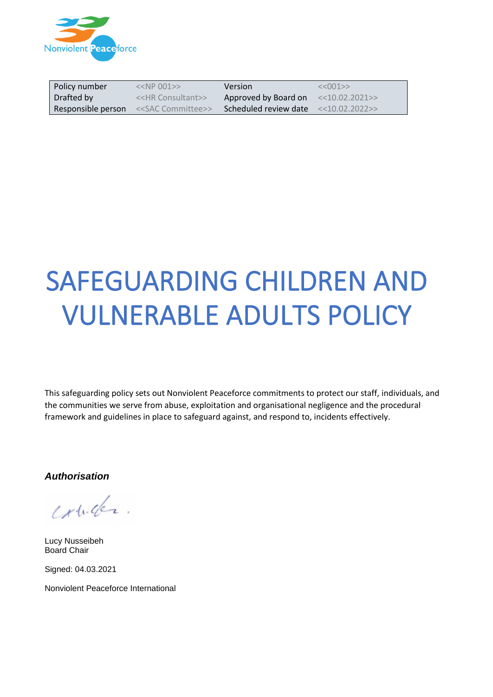

| Policy number | $< 001>>$                                                | <b>Version</b>                             | <<001>>           |
|---------------|----------------------------------------------------------|--------------------------------------------|-------------------|
| Drafted by    | < <hr consultant=""/> >                                  | Approved by Board on                       | $<<$ 10.02.2021>> |
|               | <b>Responsible person</b> < <sac committee="">&gt;</sac> | Scheduled review date $\le$ < 10.02.2022>> |                   |

# SAFEGUARDING CHILDREN AND VULNERABLE ADULTS POLICY

This safeguarding policy sets out Nonviolent Peaceforce commitments to protect our staff, individuals, and the communities we serve from abuse, exploitation and organisational negligence and the procedural framework and guidelines in place to safeguard against, and respond to, incidents effectively.

*Authorisation*

conder

Lucy Nusseibeh Board Chair

Signed: 04.03.2021

Nonviolent Peaceforce International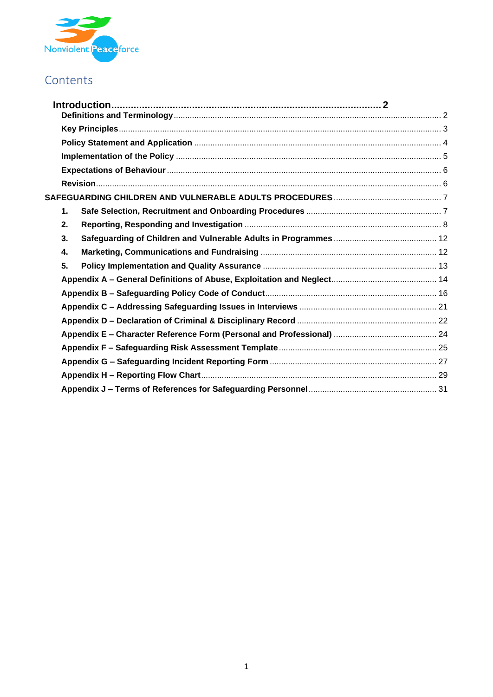

# Contents

| $\mathbf 1$ . |  |
|---------------|--|
| 2.            |  |
| 3.            |  |
| 4.            |  |
| 5.            |  |
|               |  |
|               |  |
|               |  |
|               |  |
|               |  |
|               |  |
|               |  |
|               |  |
|               |  |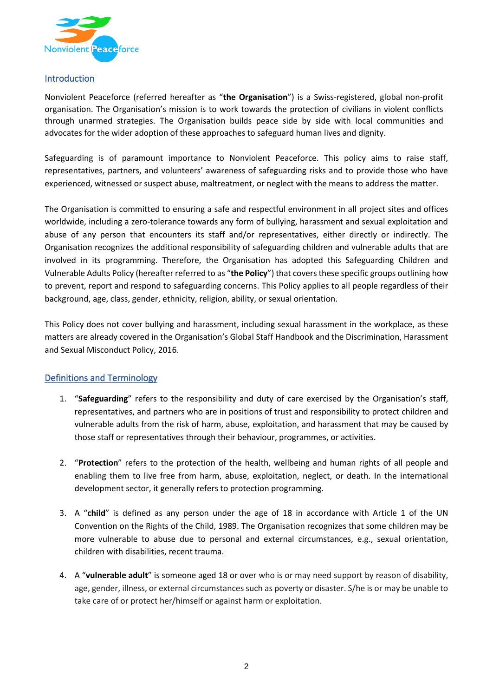

#### <span id="page-2-0"></span>Introduction

Nonviolent Peaceforce (referred hereafter as "**the Organisation**") is a Swiss-registered, global non-profit organisation. The Organisation's mission is to work towards the protection of civilians in violent conflicts through unarmed strategies. The Organisation builds peace side by side with local communities and advocates for the wider adoption of these approaches to safeguard human lives and dignity.

Safeguarding is of paramount importance to Nonviolent Peaceforce. This policy aims to raise staff, representatives, partners, and volunteers' awareness of safeguarding risks and to provide those who have experienced, witnessed or suspect abuse, maltreatment, or neglect with the means to address the matter.

The Organisation is committed to ensuring a safe and respectful environment in all project sites and offices worldwide, including a zero-tolerance towards any form of bullying, harassment and sexual exploitation and abuse of any person that encounters its staff and/or representatives, either directly or indirectly. The Organisation recognizes the additional responsibility of safeguarding children and vulnerable adults that are involved in its programming. Therefore, the Organisation has adopted this Safeguarding Children and Vulnerable Adults Policy (hereafter referred to as "**the Policy**") that covers these specific groups outlining how to prevent, report and respond to safeguarding concerns. This Policy applies to all people regardless of their background, age, class, gender, ethnicity, religion, ability, or sexual orientation.

This Policy does not cover bullying and harassment, including sexual harassment in the workplace, as these matters are already covered in the Organisation's Global Staff Handbook and the Discrimination, Harassment and Sexual Misconduct Policy, 2016.

# <span id="page-2-1"></span>Definitions and Terminology

- 1. "**Safeguarding**" refers to the responsibility and duty of care exercised by the Organisation's staff, representatives, and partners who are in positions of trust and responsibility to protect children and vulnerable adults from the risk of harm, abuse, exploitation, and harassment that may be caused by those staff or representatives through their behaviour, programmes, or activities.
- 2. "**Protection**" refers to the protection of the health, wellbeing and human rights of all people and enabling them to live free from harm, abuse, exploitation, neglect, or death. In the international development sector, it generally refers to protection programming.
- 3. A "**child**" is defined as any person under the age of 18 in accordance with Article 1 of the UN Convention on the Rights of the Child, 1989. The Organisation recognizes that some children may be more vulnerable to abuse due to personal and external circumstances, e.g., sexual orientation, children with disabilities, recent trauma.
- 4. A "**vulnerable adult**" is someone aged 18 or over who is or may need support by reason of disability, age, gender, illness, or external circumstances such as poverty or disaster. S/he is or may be unable to take care of or protect her/himself or against harm or exploitation.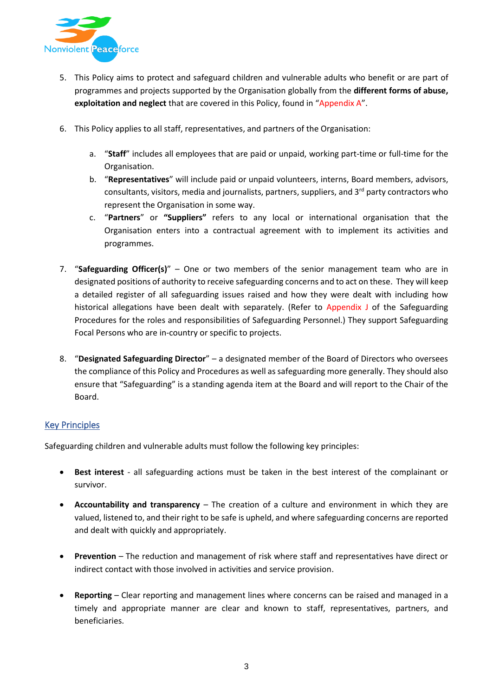

- 5. This Policy aims to protect and safeguard children and vulnerable adults who benefit or are part of programmes and projects supported by the Organisation globally from the **different forms of abuse, exploitation and neglect** that are covered in this Policy, found in "Appendix A".
- 6. This Policy applies to all staff, representatives, and partners of the Organisation:
	- a. "**Staff**" includes all employees that are paid or unpaid, working part-time or full-time for the Organisation.
	- b. "**Representatives**" will include paid or unpaid volunteers, interns, Board members, advisors, consultants, visitors, media and journalists, partners, suppliers, and  $3<sup>rd</sup>$  party contractors who represent the Organisation in some way.
	- c. "**Partners**" or **"Suppliers"** refers to any local or international organisation that the Organisation enters into a contractual agreement with to implement its activities and programmes.
- 7. "**Safeguarding Officer(s)**" One or two members of the senior management team who are in designated positions of authority to receive safeguarding concerns and to act on these. They will keep a detailed register of all safeguarding issues raised and how they were dealt with including how historical allegations have been dealt with separately. (Refer to Appendix J of the Safeguarding Procedures for the roles and responsibilities of Safeguarding Personnel.) They support Safeguarding Focal Persons who are in-country or specific to projects.
- 8. "**Designated Safeguarding Director**" a designated member of the Board of Directors who oversees the compliance of this Policy and Procedures as well as safeguarding more generally. They should also ensure that "Safeguarding" is a standing agenda item at the Board and will report to the Chair of the Board.

# <span id="page-3-0"></span>Key Principles

Safeguarding children and vulnerable adults must follow the following key principles:

- **Best interest** all safeguarding actions must be taken in the best interest of the complainant or survivor.
- **Accountability and transparency**  The creation of a culture and environment in which they are valued, listened to, and their right to be safe is upheld, and where safeguarding concerns are reported and dealt with quickly and appropriately.
- **Prevention**  The reduction and management of risk where staff and representatives have direct or indirect contact with those involved in activities and service provision.
- **Reporting**  Clear reporting and management lines where concerns can be raised and managed in a timely and appropriate manner are clear and known to staff, representatives, partners, and beneficiaries.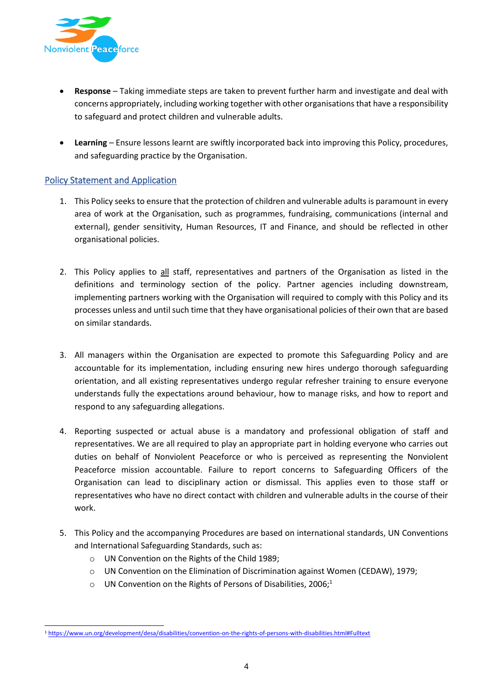

- **Response**  Taking immediate steps are taken to prevent further harm and investigate and deal with concerns appropriately, including working together with other organisations that have a responsibility to safeguard and protect children and vulnerable adults.
- **Learning**  Ensure lessons learnt are swiftly incorporated back into improving this Policy, procedures, and safeguarding practice by the Organisation.

# <span id="page-4-0"></span>Policy Statement and Application

- 1. This Policy seeks to ensure that the protection of children and vulnerable adults is paramount in every area of work at the Organisation, such as programmes, fundraising, communications (internal and external), gender sensitivity, Human Resources, IT and Finance, and should be reflected in other organisational policies.
- 2. This Policy applies to all staff, representatives and partners of the Organisation as listed in the definitions and terminology section of the policy. Partner agencies including downstream, implementing partners working with the Organisation will required to comply with this Policy and its processes unless and until such time that they have organisational policies of their own that are based on similar standards.
- 3. All managers within the Organisation are expected to promote this Safeguarding Policy and are accountable for its implementation, including ensuring new hires undergo thorough safeguarding orientation, and all existing representatives undergo regular refresher training to ensure everyone understands fully the expectations around behaviour, how to manage risks, and how to report and respond to any safeguarding allegations.
- 4. Reporting suspected or actual abuse is a mandatory and professional obligation of staff and representatives. We are all required to play an appropriate part in holding everyone who carries out duties on behalf of Nonviolent Peaceforce or who is perceived as representing the Nonviolent Peaceforce mission accountable. Failure to report concerns to Safeguarding Officers of the Organisation can lead to disciplinary action or dismissal. This applies even to those staff or representatives who have no direct contact with children and vulnerable adults in the course of their work.
- 5. This Policy and the accompanying Procedures are based on international standards, UN Conventions and International Safeguarding Standards, such as:
	- o UN Convention on the Rights of the Child 1989;
	- o UN Convention on the Elimination of Discrimination against Women (CEDAW), 1979;
	- $\circ$  UN Convention on the Rights of Persons of Disabilities, 2006;<sup>1</sup>

<sup>1</sup> <https://www.un.org/development/desa/disabilities/convention-on-the-rights-of-persons-with-disabilities.html#Fulltext>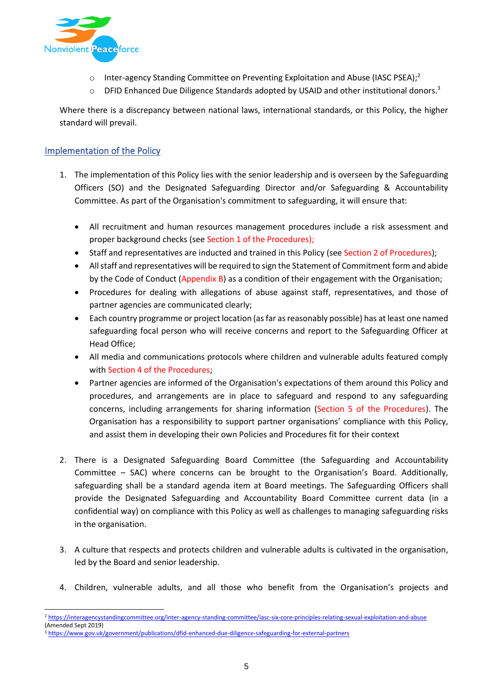

- $\circ$  Inter-agency Standing Committee on Preventing Exploitation and Abuse (IASC PSEA);<sup>2</sup>
- o DFID Enhanced Due Diligence Standards adopted by USAID and other institutional donors.<sup>3</sup>

Where there is a discrepancy between national laws, international standards, or this Policy, the higher standard will prevail.

#### <span id="page-5-0"></span>Implementation of the Policy

- 1. The implementation of this Policy lies with the senior leadership and is overseen by the Safeguarding Officers (SO) and the Designated Safeguarding Director and/or Safeguarding & Accountability Committee. As part of the Organisation's commitment to safeguarding, it will ensure that:
	- All recruitment and human resources management procedures include a risk assessment and proper background checks (see Section 1 of the Procedures);
	- Staff and representatives are inducted and trained in this Policy (see Section 2 of Procedures);
	- All staff and representatives will be required to sign the Statement of Commitment form and abide by the Code of Conduct (Appendix B) as a condition of their engagement with the Organisation;
	- Procedures for dealing with allegations of abuse against staff, representatives, and those of partner agencies are communicated clearly;
	- Each country programme or project location (as far as reasonably possible) has at least one named safeguarding focal person who will receive concerns and report to the Safeguarding Officer at Head Office;
	- All media and communications protocols where children and vulnerable adults featured comply with Section 4 of the Procedures;
	- Partner agencies are informed of the Organisation's expectations of them around this Policy and procedures, and arrangements are in place to safeguard and respond to any safeguarding concerns, including arrangements for sharing information (Section 5 of the Procedures). The Organisation has a responsibility to support partner organisations' compliance with this Policy, and assist them in developing their own Policies and Procedures fit for their context
- 2. There is a Designated Safeguarding Board Committee (the Safeguarding and Accountability Committee – SAC) where concerns can be brought to the Organisation's Board. Additionally, safeguarding shall be a standard agenda item at Board meetings. The Safeguarding Officers shall provide the Designated Safeguarding and Accountability Board Committee current data (in a confidential way) on compliance with this Policy as well as challenges to managing safeguarding risks in the organisation.
- 3. A culture that respects and protects children and vulnerable adults is cultivated in the organisation, led by the Board and senior leadership.
- 4. Children, vulnerable adults, and all those who benefit from the Organisation's projects and

<sup>2</sup> <https://interagencystandingcommittee.org/inter-agency-standing-committee/iasc-six-core-principles-relating-sexual-exploitation-and-abuse> (Amended Sept 2019)

<sup>3</sup> <https://www.gov.uk/government/publications/dfid-enhanced-due-diligence-safeguarding-for-external-partners>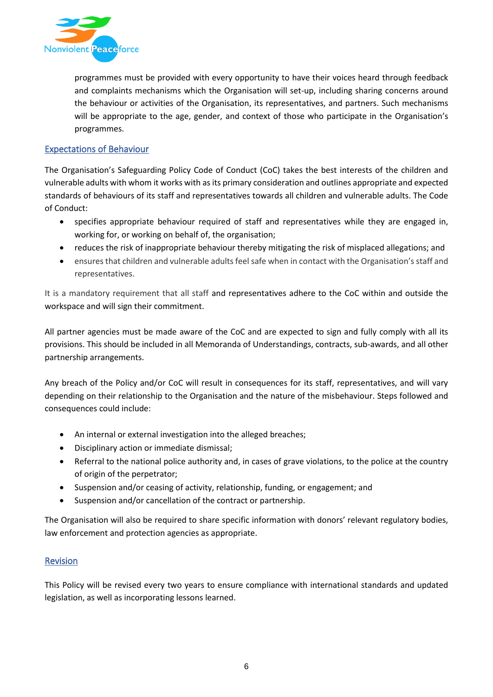

programmes must be provided with every opportunity to have their voices heard through feedback and complaints mechanisms which the Organisation will set-up, including sharing concerns around the behaviour or activities of the Organisation, its representatives, and partners. Such mechanisms will be appropriate to the age, gender, and context of those who participate in the Organisation's programmes.

### <span id="page-6-0"></span>Expectations of Behaviour

The Organisation's Safeguarding Policy Code of Conduct (CoC) takes the best interests of the children and vulnerable adults with whom it works with as its primary consideration and outlines appropriate and expected standards of behaviours of its staff and representatives towards all children and vulnerable adults. The Code of Conduct:

- specifies appropriate behaviour required of staff and representatives while they are engaged in, working for, or working on behalf of, the organisation;
- reduces the risk of inappropriate behaviour thereby mitigating the risk of misplaced allegations; and
- ensures that children and vulnerable adults feel safe when in contact with the Organisation's staff and representatives.

It is a mandatory requirement that all staff and representatives adhere to the CoC within and outside the workspace and will sign their commitment.

All partner agencies must be made aware of the CoC and are expected to sign and fully comply with all its provisions. This should be included in all Memoranda of Understandings, contracts, sub-awards, and all other partnership arrangements.

Any breach of the Policy and/or CoC will result in consequences for its staff, representatives, and will vary depending on their relationship to the Organisation and the nature of the misbehaviour. Steps followed and consequences could include:

- An internal or external investigation into the alleged breaches;
- Disciplinary action or immediate dismissal;
- Referral to the national police authority and, in cases of grave violations, to the police at the country of origin of the perpetrator;
- Suspension and/or ceasing of activity, relationship, funding, or engagement; and
- Suspension and/or cancellation of the contract or partnership.

The Organisation will also be required to share specific information with donors' relevant regulatory bodies, law enforcement and protection agencies as appropriate.

#### <span id="page-6-1"></span>Revision

This Policy will be revised every two years to ensure compliance with international standards and updated legislation, as well as incorporating lessons learned.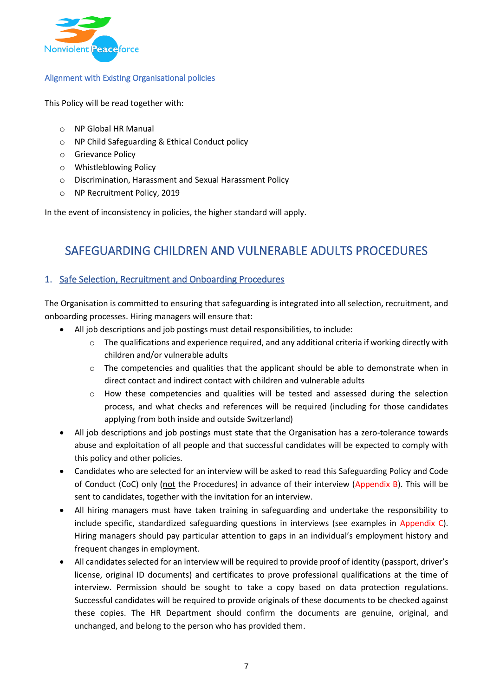

#### Alignment with Existing Organisational policies

This Policy will be read together with:

- o NP Global HR Manual
- o NP Child Safeguarding & Ethical Conduct policy
- o Grievance Policy
- o Whistleblowing Policy
- o Discrimination, Harassment and Sexual Harassment Policy
- o NP Recruitment Policy, 2019

In the event of inconsistency in policies, the higher standard will apply.

# <span id="page-7-0"></span>SAFEGUARDING CHILDREN AND VULNERABLE ADULTS PROCEDURES

# <span id="page-7-1"></span>1. Safe Selection, Recruitment and Onboarding Procedures

The Organisation is committed to ensuring that safeguarding is integrated into all selection, recruitment, and onboarding processes. Hiring managers will ensure that:

- All job descriptions and job postings must detail responsibilities, to include:
	- o The qualifications and experience required, and any additional criteria if working directly with children and/or vulnerable adults
	- $\circ$  The competencies and qualities that the applicant should be able to demonstrate when in direct contact and indirect contact with children and vulnerable adults
	- o How these competencies and qualities will be tested and assessed during the selection process, and what checks and references will be required (including for those candidates applying from both inside and outside Switzerland)
- All job descriptions and job postings must state that the Organisation has a zero-tolerance towards abuse and exploitation of all people and that successful candidates will be expected to comply with this policy and other policies.
- Candidates who are selected for an interview will be asked to read this Safeguarding Policy and Code of Conduct (CoC) only (not the Procedures) in advance of their interview (Appendix B). This will be sent to candidates, together with the invitation for an interview.
- All hiring managers must have taken training in safeguarding and undertake the responsibility to include specific, standardized safeguarding questions in interviews (see examples in Appendix C). Hiring managers should pay particular attention to gaps in an individual's employment history and frequent changes in employment.
- All candidates selected for an interview will be required to provide proof of identity (passport, driver's license, original ID documents) and certificates to prove professional qualifications at the time of interview. Permission should be sought to take a copy based on data protection regulations. Successful candidates will be required to provide originals of these documents to be checked against these copies. The HR Department should confirm the documents are genuine, original, and unchanged, and belong to the person who has provided them.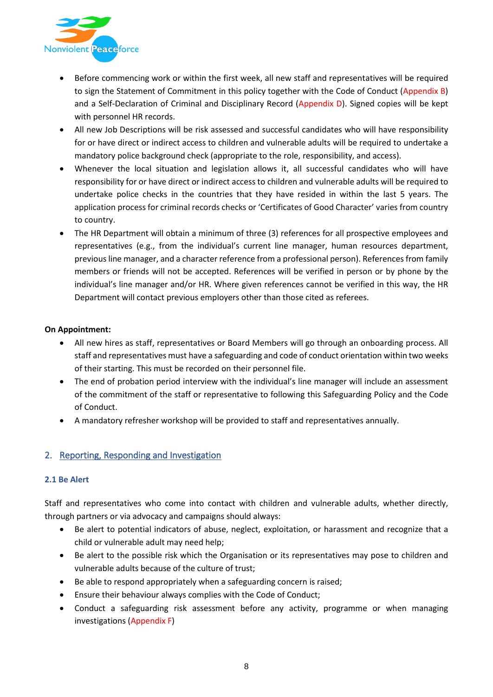

- Before commencing work or within the first week, all new staff and representatives will be required to sign the Statement of Commitment in this policy together with the Code of Conduct (Appendix B) and a Self-Declaration of Criminal and Disciplinary Record (Appendix D). Signed copies will be kept with personnel HR records.
- All new Job Descriptions will be risk assessed and successful candidates who will have responsibility for or have direct or indirect access to children and vulnerable adults will be required to undertake a mandatory police background check (appropriate to the role, responsibility, and access).
- Whenever the local situation and legislation allows it, all successful candidates who will have responsibility for or have direct or indirect access to children and vulnerable adults will be required to undertake police checks in the countries that they have resided in within the last 5 years. The application process for criminal records checks or 'Certificates of Good Character' varies from country to country.
- The HR Department will obtain a minimum of three (3) references for all prospective employees and representatives (e.g., from the individual's current line manager, human resources department, previous line manager, and a character reference from a professional person). References from family members or friends will not be accepted. References will be verified in person or by phone by the individual's line manager and/or HR. Where given references cannot be verified in this way, the HR Department will contact previous employers other than those cited as referees.

#### **On Appointment:**

- All new hires as staff, representatives or Board Members will go through an onboarding process. All staff and representatives must have a safeguarding and code of conduct orientation within two weeks of their starting. This must be recorded on their personnel file.
- The end of probation period interview with the individual's line manager will include an assessment of the commitment of the staff or representative to following this Safeguarding Policy and the Code of Conduct.
- A mandatory refresher workshop will be provided to staff and representatives annually.

#### <span id="page-8-0"></span>2. Reporting, Responding and Investigation

#### **2.1 Be Alert**

Staff and representatives who come into contact with children and vulnerable adults, whether directly, through partners or via advocacy and campaigns should always:

- Be alert to potential indicators of abuse, neglect, exploitation, or harassment and recognize that a child or vulnerable adult may need help;
- Be alert to the possible risk which the Organisation or its representatives may pose to children and vulnerable adults because of the culture of trust;
- Be able to respond appropriately when a safeguarding concern is raised;
- Ensure their behaviour always complies with the Code of Conduct;
- Conduct a safeguarding risk assessment before any activity, programme or when managing investigations (Appendix F)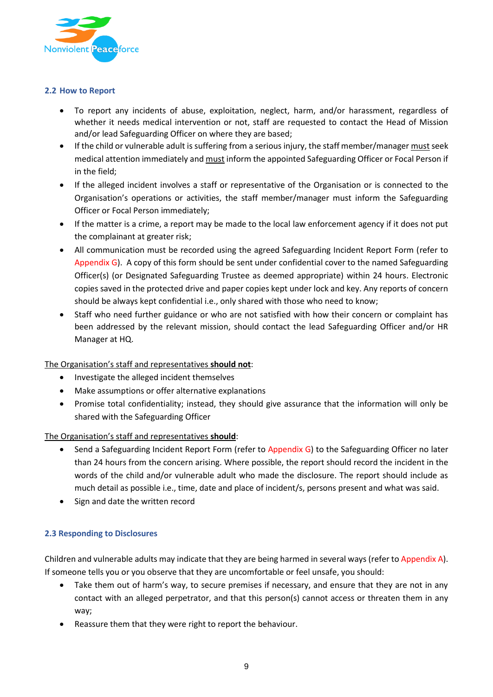

#### **2.2 How to Report**

- To report any incidents of abuse, exploitation, neglect, harm, and/or harassment, regardless of whether it needs medical intervention or not, staff are requested to contact the Head of Mission and/or lead Safeguarding Officer on where they are based;
- If the child or vulnerable adult is suffering from a serious injury, the staff member/manager must seek medical attention immediately and must inform the appointed Safeguarding Officer or Focal Person if in the field;
- If the alleged incident involves a staff or representative of the Organisation or is connected to the Organisation's operations or activities, the staff member/manager must inform the Safeguarding Officer or Focal Person immediately;
- If the matter is a crime, a report may be made to the local law enforcement agency if it does not put the complainant at greater risk;
- All communication must be recorded using the agreed Safeguarding Incident Report Form (refer to Appendix  $G$ ). A copy of this form should be sent under confidential cover to the named Safeguarding Officer(s) (or Designated Safeguarding Trustee as deemed appropriate) within 24 hours. Electronic copies saved in the protected drive and paper copies kept under lock and key. Any reports of concern should be always kept confidential i.e., only shared with those who need to know;
- Staff who need further guidance or who are not satisfied with how their concern or complaint has been addressed by the relevant mission, should contact the lead Safeguarding Officer and/or HR Manager at HQ.

#### The Organisation's staff and representatives **should not**:

- Investigate the alleged incident themselves
- Make assumptions or offer alternative explanations
- Promise total confidentiality; instead, they should give assurance that the information will only be shared with the Safeguarding Officer

#### The Organisation's staff and representatives **should**:

- Send a Safeguarding Incident Report Form (refer to Appendix G) to the Safeguarding Officer no later than 24 hours from the concern arising. Where possible, the report should record the incident in the words of the child and/or vulnerable adult who made the disclosure. The report should include as much detail as possible i.e., time, date and place of incident/s, persons present and what was said.
- Sign and date the written record

#### **2.3 Responding to Disclosures**

Children and vulnerable adults may indicate that they are being harmed in several ways (refer to Appendix A). If someone tells you or you observe that they are uncomfortable or feel unsafe, you should:

- Take them out of harm's way, to secure premises if necessary, and ensure that they are not in any contact with an alleged perpetrator, and that this person(s) cannot access or threaten them in any way;
- Reassure them that they were right to report the behaviour.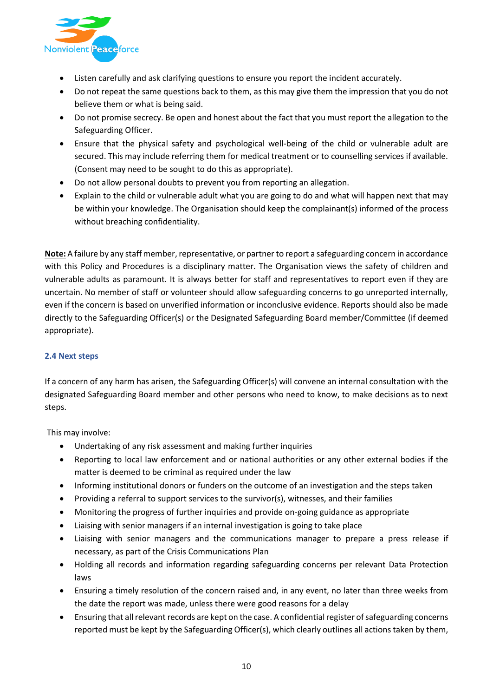

- Listen carefully and ask clarifying questions to ensure you report the incident accurately.
- Do not repeat the same questions back to them, as this may give them the impression that you do not believe them or what is being said.
- Do not promise secrecy. Be open and honest about the fact that you must report the allegation to the Safeguarding Officer.
- Ensure that the physical safety and psychological well-being of the child or vulnerable adult are secured. This may include referring them for medical treatment or to counselling services if available. (Consent may need to be sought to do this as appropriate).
- Do not allow personal doubts to prevent you from reporting an allegation.
- Explain to the child or vulnerable adult what you are going to do and what will happen next that may be within your knowledge. The Organisation should keep the complainant(s) informed of the process without breaching confidentiality.

**Note:** A failure by any staff member, representative, or partner to report a safeguarding concern in accordance with this Policy and Procedures is a disciplinary matter. The Organisation views the safety of children and vulnerable adults as paramount. It is always better for staff and representatives to report even if they are uncertain. No member of staff or volunteer should allow safeguarding concerns to go unreported internally, even if the concern is based on unverified information or inconclusive evidence. Reports should also be made directly to the Safeguarding Officer(s) or the Designated Safeguarding Board member/Committee (if deemed appropriate).

#### **2.4 Next steps**

If a concern of any harm has arisen, the Safeguarding Officer(s) will convene an internal consultation with the designated Safeguarding Board member and other persons who need to know, to make decisions as to next steps.

This may involve:

- Undertaking of any risk assessment and making further inquiries
- Reporting to local law enforcement and or national authorities or any other external bodies if the matter is deemed to be criminal as required under the law
- Informing institutional donors or funders on the outcome of an investigation and the steps taken
- Providing a referral to support services to the survivor(s), witnesses, and their families
- Monitoring the progress of further inquiries and provide on-going guidance as appropriate
- Liaising with senior managers if an internal investigation is going to take place
- Liaising with senior managers and the communications manager to prepare a press release if necessary, as part of the Crisis Communications Plan
- Holding all records and information regarding safeguarding concerns per relevant Data Protection laws
- Ensuring a timely resolution of the concern raised and, in any event, no later than three weeks from the date the report was made, unless there were good reasons for a delay
- Ensuring that all relevant records are kept on the case. A confidential register of safeguarding concerns reported must be kept by the Safeguarding Officer(s), which clearly outlines all actions taken by them,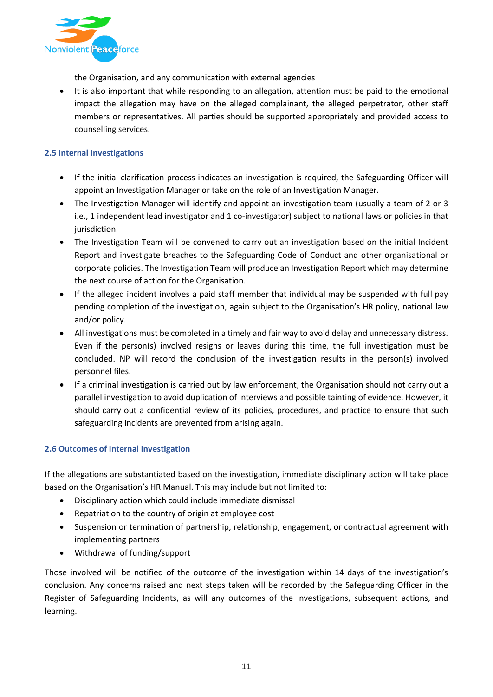

the Organisation, and any communication with external agencies

• It is also important that while responding to an allegation, attention must be paid to the emotional impact the allegation may have on the alleged complainant, the alleged perpetrator, other staff members or representatives. All parties should be supported appropriately and provided access to counselling services.

#### **2.5 Internal Investigations**

- If the initial clarification process indicates an investigation is required, the Safeguarding Officer will appoint an Investigation Manager or take on the role of an Investigation Manager.
- The Investigation Manager will identify and appoint an investigation team (usually a team of 2 or 3 i.e., 1 independent lead investigator and 1 co-investigator) subject to national laws or policies in that jurisdiction.
- The Investigation Team will be convened to carry out an investigation based on the initial Incident Report and investigate breaches to the Safeguarding Code of Conduct and other organisational or corporate policies. The Investigation Team will produce an Investigation Report which may determine the next course of action for the Organisation.
- If the alleged incident involves a paid staff member that individual may be suspended with full pay pending completion of the investigation, again subject to the Organisation's HR policy, national law and/or policy.
- All investigations must be completed in a timely and fair way to avoid delay and unnecessary distress. Even if the person(s) involved resigns or leaves during this time, the full investigation must be concluded. NP will record the conclusion of the investigation results in the person(s) involved personnel files.
- If a criminal investigation is carried out by law enforcement, the Organisation should not carry out a parallel investigation to avoid duplication of interviews and possible tainting of evidence. However, it should carry out a confidential review of its policies, procedures, and practice to ensure that such safeguarding incidents are prevented from arising again.

#### **2.6 Outcomes of Internal Investigation**

If the allegations are substantiated based on the investigation, immediate disciplinary action will take place based on the Organisation's HR Manual. This may include but not limited to:

- Disciplinary action which could include immediate dismissal
- Repatriation to the country of origin at employee cost
- Suspension or termination of partnership, relationship, engagement, or contractual agreement with implementing partners
- Withdrawal of funding/support

Those involved will be notified of the outcome of the investigation within 14 days of the investigation's conclusion. Any concerns raised and next steps taken will be recorded by the Safeguarding Officer in the Register of Safeguarding Incidents, as will any outcomes of the investigations, subsequent actions, and learning.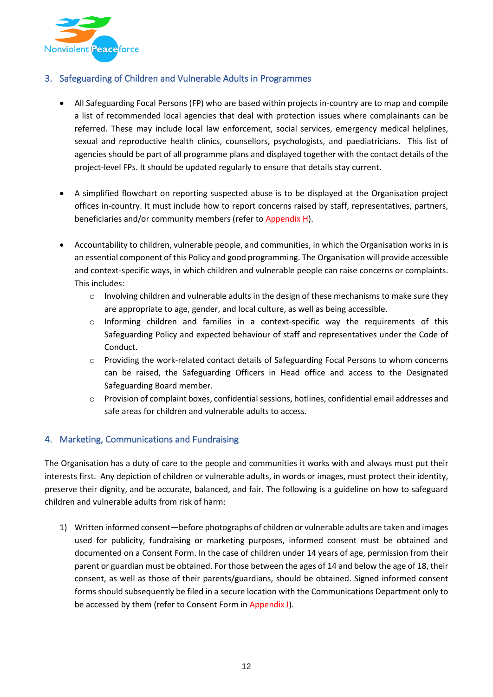

# <span id="page-12-0"></span>3. Safeguarding of Children and Vulnerable Adults in Programmes

- All Safeguarding Focal Persons (FP) who are based within projects in-country are to map and compile a list of recommended local agencies that deal with protection issues where complainants can be referred. These may include local law enforcement, social services, emergency medical helplines, sexual and reproductive health clinics, counsellors, psychologists, and paediatricians. This list of agencies should be part of all programme plans and displayed together with the contact details of the project-level FPs. It should be updated regularly to ensure that details stay current.
- A simplified flowchart on reporting suspected abuse is to be displayed at the Organisation project offices in-country. It must include how to report concerns raised by staff, representatives, partners, beneficiaries and/or community members (refer to Appendix H).
- Accountability to children, vulnerable people, and communities, in which the Organisation works in is an essential component of this Policy and good programming. The Organisation will provide accessible and context-specific ways, in which children and vulnerable people can raise concerns or complaints. This includes:
	- $\circ$  Involving children and vulnerable adults in the design of these mechanisms to make sure they are appropriate to age, gender, and local culture, as well as being accessible.
	- o Informing children and families in a context-specific way the requirements of this Safeguarding Policy and expected behaviour of staff and representatives under the Code of Conduct.
	- o Providing the work-related contact details of Safeguarding Focal Persons to whom concerns can be raised, the Safeguarding Officers in Head office and access to the Designated Safeguarding Board member.
	- o Provision of complaint boxes, confidential sessions, hotlines, confidential email addresses and safe areas for children and vulnerable adults to access.

# <span id="page-12-1"></span>4. Marketing, Communications and Fundraising

The Organisation has a duty of care to the people and communities it works with and always must put their interests first. Any depiction of children or vulnerable adults, in words or images, must protect their identity, preserve their dignity, and be accurate, balanced, and fair. The following is a guideline on how to safeguard children and vulnerable adults from risk of harm:

1) Written informed consent—before photographs of children or vulnerable adults are taken and images used for publicity, fundraising or marketing purposes, informed consent must be obtained and documented on a Consent Form. In the case of children under 14 years of age, permission from their parent or guardian must be obtained. For those between the ages of 14 and below the age of 18, their consent, as well as those of their parents/guardians, should be obtained. Signed informed consent forms should subsequently be filed in a secure location with the Communications Department only to be accessed by them (refer to Consent Form in Appendix I).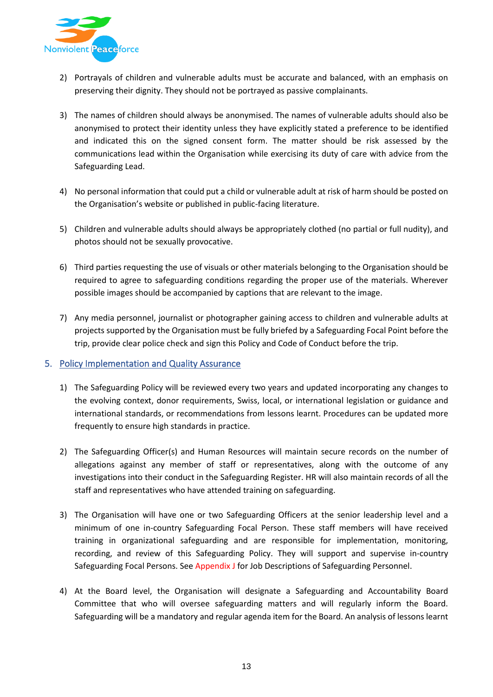

- 2) Portrayals of children and vulnerable adults must be accurate and balanced, with an emphasis on preserving their dignity. They should not be portrayed as passive complainants.
- 3) The names of children should always be anonymised. The names of vulnerable adults should also be anonymised to protect their identity unless they have explicitly stated a preference to be identified and indicated this on the signed consent form. The matter should be risk assessed by the communications lead within the Organisation while exercising its duty of care with advice from the Safeguarding Lead.
- 4) No personal information that could put a child or vulnerable adult at risk of harm should be posted on the Organisation's website or published in public-facing literature.
- 5) Children and vulnerable adults should always be appropriately clothed (no partial or full nudity), and photos should not be sexually provocative.
- 6) Third parties requesting the use of visuals or other materials belonging to the Organisation should be required to agree to safeguarding conditions regarding the proper use of the materials. Wherever possible images should be accompanied by captions that are relevant to the image.
- 7) Any media personnel, journalist or photographer gaining access to children and vulnerable adults at projects supported by the Organisation must be fully briefed by a Safeguarding Focal Point before the trip, provide clear police check and sign this Policy and Code of Conduct before the trip.

#### <span id="page-13-0"></span>5. Policy Implementation and Quality Assurance

- 1) The Safeguarding Policy will be reviewed every two years and updated incorporating any changes to the evolving context, donor requirements, Swiss, local, or international legislation or guidance and international standards, or recommendations from lessons learnt. Procedures can be updated more frequently to ensure high standards in practice.
- 2) The Safeguarding Officer(s) and Human Resources will maintain secure records on the number of allegations against any member of staff or representatives, along with the outcome of any investigations into their conduct in the Safeguarding Register. HR will also maintain records of all the staff and representatives who have attended training on safeguarding.
- 3) The Organisation will have one or two Safeguarding Officers at the senior leadership level and a minimum of one in-country Safeguarding Focal Person. These staff members will have received training in organizational safeguarding and are responsible for implementation, monitoring, recording, and review of this Safeguarding Policy. They will support and supervise in-country Safeguarding Focal Persons. See Appendix J for Job Descriptions of Safeguarding Personnel.
- 4) At the Board level, the Organisation will designate a Safeguarding and Accountability Board Committee that who will oversee safeguarding matters and will regularly inform the Board. Safeguarding will be a mandatory and regular agenda item for the Board. An analysis of lessons learnt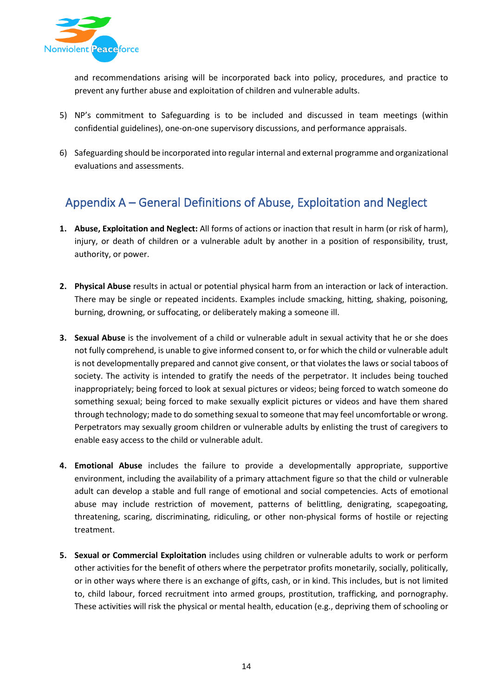

and recommendations arising will be incorporated back into policy, procedures, and practice to prevent any further abuse and exploitation of children and vulnerable adults.

- 5) NP's commitment to Safeguarding is to be included and discussed in team meetings (within confidential guidelines), one-on-one supervisory discussions, and performance appraisals.
- 6) Safeguarding should be incorporated into regular internal and external programme and organizational evaluations and assessments.

# <span id="page-14-0"></span>Appendix A – General Definitions of Abuse, Exploitation and Neglect

- **1. Abuse, Exploitation and Neglect:** All forms of actions or inaction that result in harm (or risk of harm), injury, or death of children or a vulnerable adult by another in a position of responsibility, trust, authority, or power.
- **2. Physical Abuse** results in actual or potential physical harm from an interaction or lack of interaction. There may be single or repeated incidents. Examples include smacking, hitting, shaking, poisoning, burning, drowning, or suffocating, or deliberately making a someone ill.
- **3. Sexual Abuse** is the involvement of a child or vulnerable adult in sexual activity that he or she does not fully comprehend, is unable to give informed consent to, or for which the child or vulnerable adult is not developmentally prepared and cannot give consent, or that violates the laws or social taboos of society. The activity is intended to gratify the needs of the perpetrator. It includes being touched inappropriately; being forced to look at sexual pictures or videos; being forced to watch someone do something sexual; being forced to make sexually explicit pictures or videos and have them shared through technology; made to do something sexual to someone that may feel uncomfortable or wrong. Perpetrators may sexually groom children or vulnerable adults by enlisting the trust of caregivers to enable easy access to the child or vulnerable adult.
- **4. Emotional Abuse** includes the failure to provide a developmentally appropriate, supportive environment, including the availability of a primary attachment figure so that the child or vulnerable adult can develop a stable and full range of emotional and social competencies. Acts of emotional abuse may include restriction of movement, patterns of belittling, denigrating, scapegoating, threatening, scaring, discriminating, ridiculing, or other non-physical forms of hostile or rejecting treatment.
- **5. Sexual or Commercial Exploitation** includes using children or vulnerable adults to work or perform other activities for the benefit of others where the perpetrator profits monetarily, socially, politically, or in other ways where there is an exchange of gifts, cash, or in kind. This includes, but is not limited to, child labour, forced recruitment into armed groups, prostitution, trafficking, and pornography. These activities will risk the physical or mental health, education (e.g., depriving them of schooling or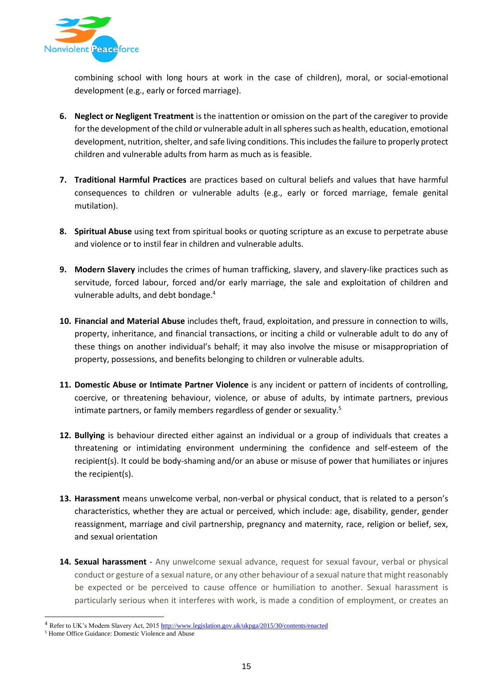

combining school with long hours at work in the case of children), moral, or social-emotional development (e.g., early or forced marriage).

- **6. Neglect or Negligent Treatment** is the inattention or omission on the part of the caregiver to provide for the development of the child or vulnerable adult in all spheres such as health, education, emotional development, nutrition, shelter, and safe living conditions. This includes the failure to properly protect children and vulnerable adults from harm as much as is feasible.
- **7. Traditional Harmful Practices** are practices based on cultural beliefs and values that have harmful consequences to children or vulnerable adults (e.g., early or forced marriage, female genital mutilation).
- **8. Spiritual Abuse** using text from spiritual books or quoting scripture as an excuse to perpetrate abuse and violence or to instil fear in children and vulnerable adults.
- **9. Modern Slavery** includes the crimes of human trafficking, slavery, and slavery-like practices such as servitude, forced labour, forced and/or early marriage, the sale and exploitation of children and vulnerable adults, and debt bondage.<sup>4</sup>
- **10. Financial and Material Abuse** includes theft, fraud, exploitation, and pressure in connection to wills, property, inheritance, and financial transactions, or inciting a child or vulnerable adult to do any of these things on another individual's behalf; it may also involve the misuse or misappropriation of property, possessions, and benefits belonging to children or vulnerable adults.
- **11. Domestic Abuse or Intimate Partner Violence** is any incident or pattern of incidents of controlling, coercive, or threatening behaviour, violence, or abuse of adults, by intimate partners, previous intimate partners, or family members regardless of gender or sexuality.<sup>5</sup>
- **12. Bullying** is behaviour directed either against an individual or a group of individuals that creates a threatening or intimidating environment undermining the confidence and self-esteem of the recipient(s). It could be body-shaming and/or an abuse or misuse of power that humiliates or injures the recipient(s).
- **13. Harassment** means unwelcome verbal, non-verbal or physical conduct, that is related to a person's characteristics, whether they are actual or perceived, which include: age, disability, gender, gender reassignment, marriage and civil partnership, pregnancy and maternity, race, religion or belief, sex, and sexual orientation
- **14. Sexual harassment** Any unwelcome sexual advance, request for sexual favour, verbal or physical conduct or gesture of a sexual nature, or any other behaviour of a sexual nature that might reasonably be expected or be perceived to cause offence or humiliation to another. Sexual harassment is particularly serious when it interferes with work, is made a condition of employment, or creates an

<sup>4</sup> Refer to UK's Modern Slavery Act, 201[5 http://www.legislation.gov.uk/ukpga/2015/30/contents/enacted](http://www.legislation.gov.uk/ukpga/2015/30/contents/enacted)

<sup>5</sup> Home Office Guidance: Domestic Violence and Abuse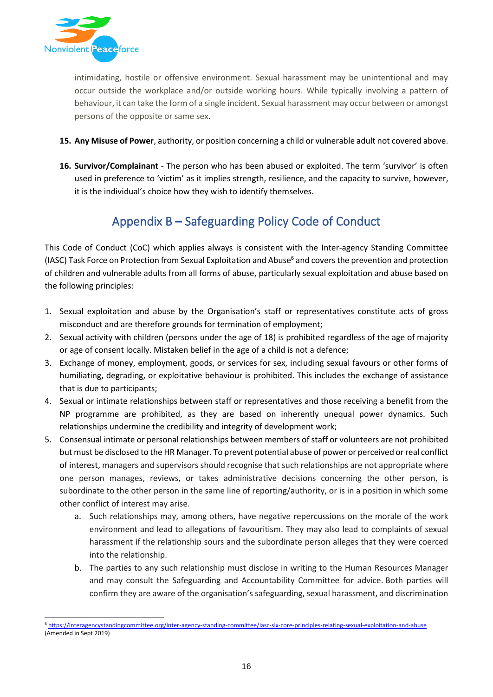

intimidating, hostile or offensive environment. Sexual harassment may be unintentional and may occur outside the workplace and/or outside working hours. While typically involving a pattern of behaviour, it can take the form of a single incident. Sexual harassment may occur between or amongst persons of the opposite or same sex.

- **15. Any Misuse of Power**, authority, or position concerning a child or vulnerable adult not covered above.
- **16. Survivor/Complainant** The person who has been abused or exploited. The term 'survivor' is often used in preference to 'victim' as it implies strength, resilience, and the capacity to survive, however, it is the individual's choice how they wish to identify themselves.

# Appendix B – Safeguarding Policy Code of Conduct

<span id="page-16-0"></span>This Code of Conduct (CoC) which applies always is consistent with the Inter-agency Standing Committee (IASC) Task Force on Protection from Sexual Exploitation and Abuse<sup>6</sup> and covers the prevention and protection of children and vulnerable adults from all forms of abuse, particularly sexual exploitation and abuse based on the following principles:

- 1. Sexual exploitation and abuse by the Organisation's staff or representatives constitute acts of gross misconduct and are therefore grounds for termination of employment;
- 2. Sexual activity with children (persons under the age of 18) is prohibited regardless of the age of majority or age of consent locally. Mistaken belief in the age of a child is not a defence;
- 3. Exchange of money, employment, goods, or services for sex, including sexual favours or other forms of humiliating, degrading, or exploitative behaviour is prohibited. This includes the exchange of assistance that is due to participants;
- 4. Sexual or intimate relationships between staff or representatives and those receiving a benefit from the NP programme are prohibited, as they are based on inherently unequal power dynamics. Such relationships undermine the credibility and integrity of development work;
- 5. Consensual intimate or personal relationships between members of staff or volunteers are not prohibited but must be disclosed to the HR Manager. To prevent potential abuse of power or perceived or real conflict of interest, managers and supervisors should recognise that such relationships are not appropriate where one person manages, reviews, or takes administrative decisions concerning the other person, is subordinate to the other person in the same line of reporting/authority, or is in a position in which some other conflict of interest may arise.
	- a. Such relationships may, among others, have negative repercussions on the morale of the work environment and lead to allegations of favouritism. They may also lead to complaints of sexual harassment if the relationship sours and the subordinate person alleges that they were coerced into the relationship.
	- b. The parties to any such relationship must disclose in writing to the Human Resources Manager and may consult the Safeguarding and Accountability Committee for advice. Both parties will confirm they are aware of the organisation's safeguarding, sexual harassment, and discrimination

<sup>6</sup> <https://interagencystandingcommittee.org/inter-agency-standing-committee/iasc-six-core-principles-relating-sexual-exploitation-and-abuse> (Amended in Sept 2019)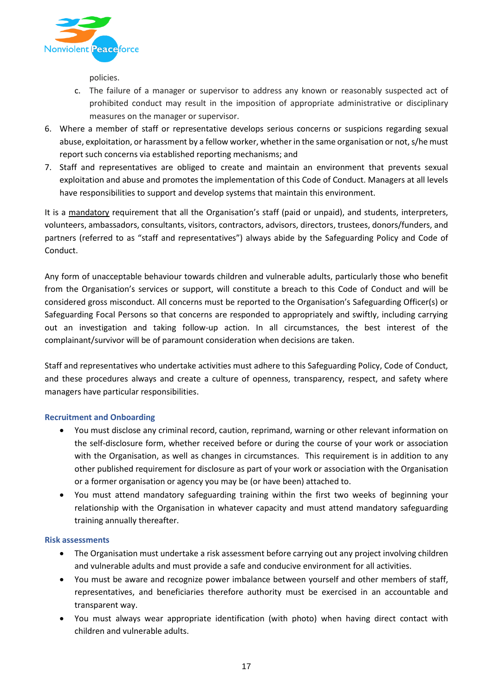

policies.

- c. The failure of a manager or supervisor to address any known or reasonably suspected act of prohibited conduct may result in the imposition of appropriate administrative or disciplinary measures on the manager or supervisor.
- 6. Where a member of staff or representative develops serious concerns or suspicions regarding sexual abuse, exploitation, or harassment by a fellow worker, whether in the same organisation or not, s/he must report such concerns via established reporting mechanisms; and
- 7. Staff and representatives are obliged to create and maintain an environment that prevents sexual exploitation and abuse and promotes the implementation of this Code of Conduct. Managers at all levels have responsibilities to support and develop systems that maintain this environment.

It is a mandatory requirement that all the Organisation's staff (paid or unpaid), and students, interpreters, volunteers, ambassadors, consultants, visitors, contractors, advisors, directors, trustees, donors/funders, and partners (referred to as "staff and representatives") always abide by the Safeguarding Policy and Code of Conduct.

Any form of unacceptable behaviour towards children and vulnerable adults, particularly those who benefit from the Organisation's services or support, will constitute a breach to this Code of Conduct and will be considered gross misconduct. All concerns must be reported to the Organisation's Safeguarding Officer(s) or Safeguarding Focal Persons so that concerns are responded to appropriately and swiftly, including carrying out an investigation and taking follow-up action. In all circumstances, the best interest of the complainant/survivor will be of paramount consideration when decisions are taken.

Staff and representatives who undertake activities must adhere to this Safeguarding Policy, Code of Conduct, and these procedures always and create a culture of openness, transparency, respect, and safety where managers have particular responsibilities.

#### **Recruitment and Onboarding**

- You must disclose any criminal record, caution, reprimand, warning or other relevant information on the self-disclosure form, whether received before or during the course of your work or association with the Organisation, as well as changes in circumstances. This requirement is in addition to any other published requirement for disclosure as part of your work or association with the Organisation or a former organisation or agency you may be (or have been) attached to.
- You must attend mandatory safeguarding training within the first two weeks of beginning your relationship with the Organisation in whatever capacity and must attend mandatory safeguarding training annually thereafter.

#### **Risk assessments**

- The Organisation must undertake a risk assessment before carrying out any project involving children and vulnerable adults and must provide a safe and conducive environment for all activities.
- You must be aware and recognize power imbalance between yourself and other members of staff, representatives, and beneficiaries therefore authority must be exercised in an accountable and transparent way.
- You must always wear appropriate identification (with photo) when having direct contact with children and vulnerable adults.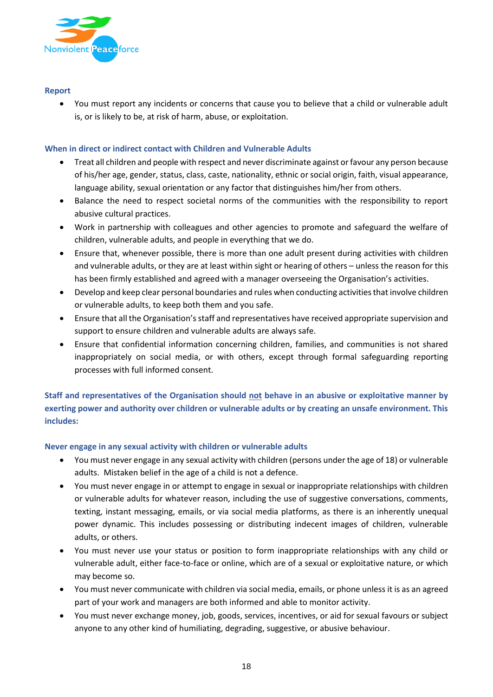

#### **Report**

• You must report any incidents or concerns that cause you to believe that a child or vulnerable adult is, or is likely to be, at risk of harm, abuse, or exploitation.

#### **When in direct or indirect contact with Children and Vulnerable Adults**

- Treat all children and people with respect and never discriminate against or favour any person because of his/her age, gender, status, class, caste, nationality, ethnic or social origin, faith, visual appearance, language ability, sexual orientation or any factor that distinguishes him/her from others.
- Balance the need to respect societal norms of the communities with the responsibility to report abusive cultural practices.
- Work in partnership with colleagues and other agencies to promote and safeguard the welfare of children, vulnerable adults, and people in everything that we do.
- Ensure that, whenever possible, there is more than one adult present during activities with children and vulnerable adults, or they are at least within sight or hearing of others – unless the reason for this has been firmly established and agreed with a manager overseeing the Organisation's activities.
- Develop and keep clear personal boundaries and rules when conducting activities that involve children or vulnerable adults, to keep both them and you safe.
- Ensure that all the Organisation's staff and representatives have received appropriate supervision and support to ensure children and vulnerable adults are always safe.
- Ensure that confidential information concerning children, families, and communities is not shared inappropriately on social media, or with others, except through formal safeguarding reporting processes with full informed consent.

**Staff and representatives of the Organisation should not behave in an abusive or exploitative manner by exerting power and authority over children or vulnerable adults or by creating an unsafe environment. This includes:** 

#### **Never engage in any sexual activity with children or vulnerable adults**

- You must never engage in any sexual activity with children (persons under the age of 18) or vulnerable adults. Mistaken belief in the age of a child is not a defence.
- You must never engage in or attempt to engage in sexual or inappropriate relationships with children or vulnerable adults for whatever reason, including the use of suggestive conversations, comments, texting, instant messaging, emails, or via social media platforms, as there is an inherently unequal power dynamic. This includes possessing or distributing indecent images of children, vulnerable adults, or others.
- You must never use your status or position to form inappropriate relationships with any child or vulnerable adult, either face-to-face or online, which are of a sexual or exploitative nature, or which may become so.
- You must never communicate with children via social media, emails, or phone unless it is as an agreed part of your work and managers are both informed and able to monitor activity.
- You must never exchange money, job, goods, services, incentives, or aid for sexual favours or subject anyone to any other kind of humiliating, degrading, suggestive, or abusive behaviour.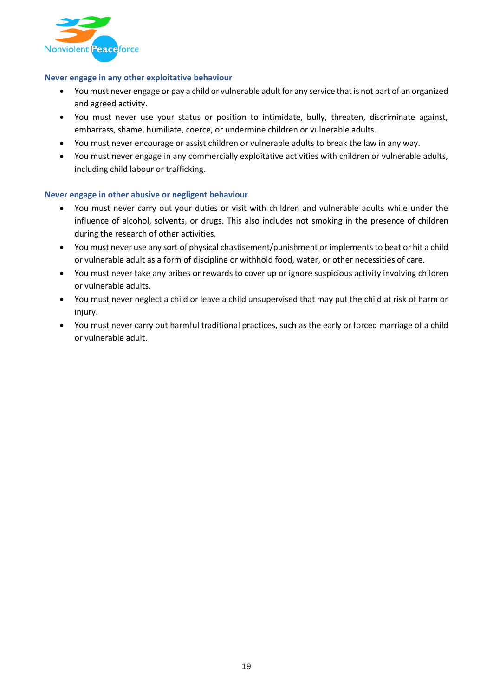

#### **Never engage in any other exploitative behaviour**

- You must never engage or pay a child or vulnerable adult for any service that is not part of an organized and agreed activity.
- You must never use your status or position to intimidate, bully, threaten, discriminate against, embarrass, shame, humiliate, coerce, or undermine children or vulnerable adults.
- You must never encourage or assist children or vulnerable adults to break the law in any way.
- You must never engage in any commercially exploitative activities with children or vulnerable adults, including child labour or trafficking.

#### **Never engage in other abusive or negligent behaviour**

- You must never carry out your duties or visit with children and vulnerable adults while under the influence of alcohol, solvents, or drugs. This also includes not smoking in the presence of children during the research of other activities.
- You must never use any sort of physical chastisement/punishment or implements to beat or hit a child or vulnerable adult as a form of discipline or withhold food, water, or other necessities of care.
- You must never take any bribes or rewards to cover up or ignore suspicious activity involving children or vulnerable adults.
- You must never neglect a child or leave a child unsupervised that may put the child at risk of harm or injury.
- You must never carry out harmful traditional practices, such as the early or forced marriage of a child or vulnerable adult.